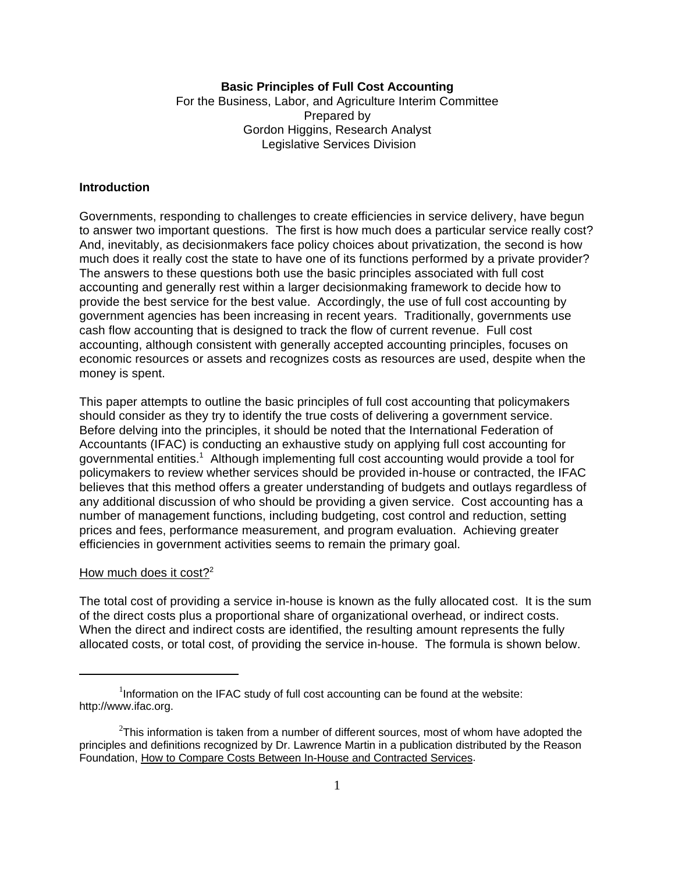### **Basic Principles of Full Cost Accounting**

For the Business, Labor, and Agriculture Interim Committee Prepared by Gordon Higgins, Research Analyst Legislative Services Division

### **Introduction**

Governments, responding to challenges to create efficiencies in service delivery, have begun to answer two important questions. The first is how much does a particular service really cost? And, inevitably, as decisionmakers face policy choices about privatization, the second is how much does it really cost the state to have one of its functions performed by a private provider? The answers to these questions both use the basic principles associated with full cost accounting and generally rest within a larger decisionmaking framework to decide how to provide the best service for the best value. Accordingly, the use of full cost accounting by government agencies has been increasing in recent years. Traditionally, governments use cash flow accounting that is designed to track the flow of current revenue. Full cost accounting, although consistent with generally accepted accounting principles, focuses on economic resources or assets and recognizes costs as resources are used, despite when the money is spent.

This paper attempts to outline the basic principles of full cost accounting that policymakers should consider as they try to identify the true costs of delivering a government service. Before delving into the principles, it should be noted that the International Federation of Accountants (IFAC) is conducting an exhaustive study on applying full cost accounting for governmental entities.<sup>1</sup> Although implementing full cost accounting would provide a tool for policymakers to review whether services should be provided in-house or contracted, the IFAC believes that this method offers a greater understanding of budgets and outlays regardless of any additional discussion of who should be providing a given service. Cost accounting has a number of management functions, including budgeting, cost control and reduction, setting prices and fees, performance measurement, and program evaluation. Achieving greater efficiencies in government activities seems to remain the primary goal.

#### How much does it cost?<sup>2</sup>

The total cost of providing a service in-house is known as the fully allocated cost. It is the sum of the direct costs plus a proportional share of organizational overhead, or indirect costs. When the direct and indirect costs are identified, the resulting amount represents the fully allocated costs, or total cost, of providing the service in-house. The formula is shown below.

 $1$ Information on the IFAC study of full cost accounting can be found at the website: http://www.ifac.org.

 $^{2}$ This information is taken from a number of different sources, most of whom have adopted the principles and definitions recognized by Dr. Lawrence Martin in a publication distributed by the Reason Foundation, How to Compare Costs Between In-House and Contracted Services.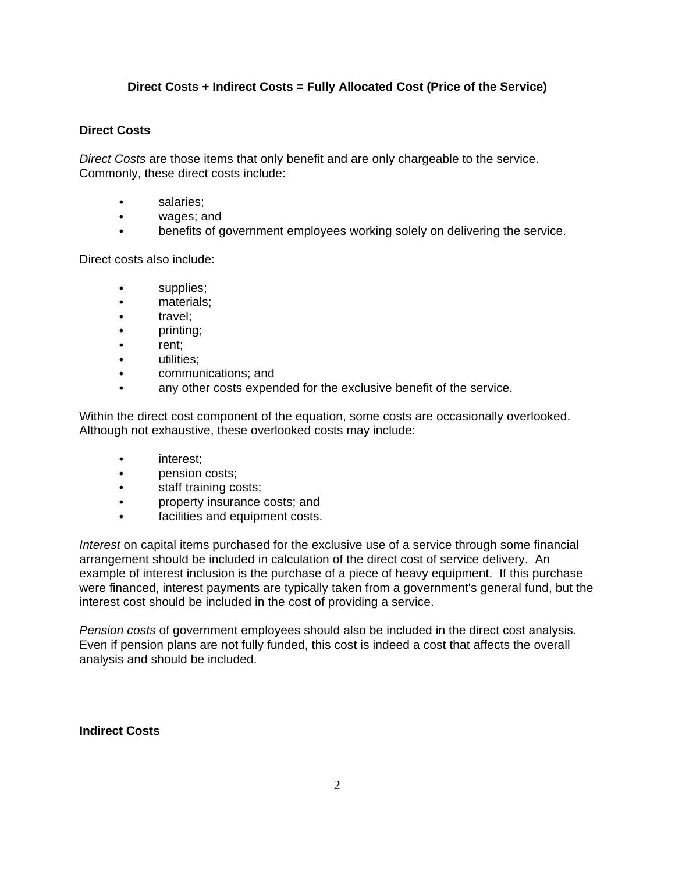# **Direct Costs + Indirect Costs = Fully Allocated Cost (Price of the Service)**

### **Direct Costs**

*Direct Costs* are those items that only benefit and are only chargeable to the service. Commonly, these direct costs include:

- salaries:
- wages; and
- benefits of government employees working solely on delivering the service.

Direct costs also include:

- $\bullet$  supplies;
- materials;
- $\cdot$  travel:
- $\bullet$  printing;
- rent;
- utilities:
- communications; and
- any other costs expended for the exclusive benefit of the service.

Within the direct cost component of the equation, some costs are occasionally overlooked. Although not exhaustive, these overlooked costs may include:

- interest:
- pension costs;
- staff training costs;
- property insurance costs; and
- facilities and equipment costs.

*Interest* on capital items purchased for the exclusive use of a service through some financial arrangement should be included in calculation of the direct cost of service delivery. An example of interest inclusion is the purchase of a piece of heavy equipment. If this purchase were financed, interest payments are typically taken from a government's general fund, but the interest cost should be included in the cost of providing a service.

*Pension costs* of government employees should also be included in the direct cost analysis. Even if pension plans are not fully funded, this cost is indeed a cost that affects the overall analysis and should be included.

### **Indirect Costs**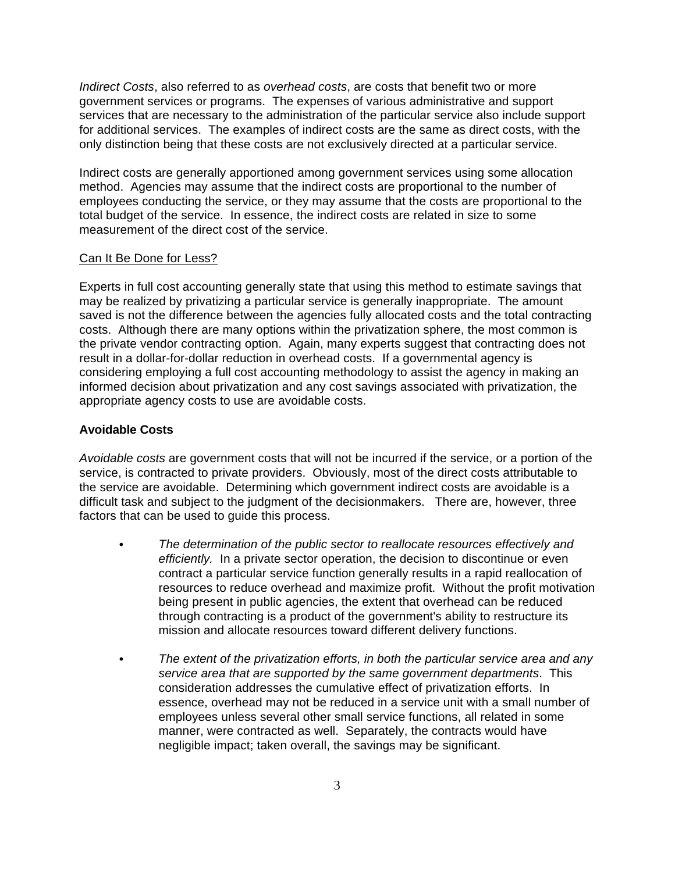*Indirect Costs*, also referred to as *overhead costs*, are costs that benefit two or more government services or programs. The expenses of various administrative and support services that are necessary to the administration of the particular service also include support for additional services. The examples of indirect costs are the same as direct costs, with the only distinction being that these costs are not exclusively directed at a particular service.

Indirect costs are generally apportioned among government services using some allocation method. Agencies may assume that the indirect costs are proportional to the number of employees conducting the service, or they may assume that the costs are proportional to the total budget of the service. In essence, the indirect costs are related in size to some measurement of the direct cost of the service.

#### Can It Be Done for Less?

Experts in full cost accounting generally state that using this method to estimate savings that may be realized by privatizing a particular service is generally inappropriate. The amount saved is not the difference between the agencies fully allocated costs and the total contracting costs. Although there are many options within the privatization sphere, the most common is the private vendor contracting option. Again, many experts suggest that contracting does not result in a dollar-for-dollar reduction in overhead costs. If a governmental agency is considering employing a full cost accounting methodology to assist the agency in making an informed decision about privatization and any cost savings associated with privatization, the appropriate agency costs to use are avoidable costs.

### **Avoidable Costs**

*Avoidable costs* are government costs that will not be incurred if the service, or a portion of the service, is contracted to private providers. Obviously, most of the direct costs attributable to the service are avoidable. Determining which government indirect costs are avoidable is a difficult task and subject to the judgment of the decisionmakers. There are, however, three factors that can be used to guide this process.

- C *The determination of the public sector to reallocate resources effectively and efficiently.* In a private sector operation, the decision to discontinue or even contract a particular service function generally results in a rapid reallocation of resources to reduce overhead and maximize profit. Without the profit motivation being present in public agencies, the extent that overhead can be reduced through contracting is a product of the government's ability to restructure its mission and allocate resources toward different delivery functions.
- The extent of the privatization efforts, in both the particular service area and any *service area that are supported by the same government departments*. This consideration addresses the cumulative effect of privatization efforts. In essence, overhead may not be reduced in a service unit with a small number of employees unless several other small service functions, all related in some manner, were contracted as well. Separately, the contracts would have negligible impact; taken overall, the savings may be significant.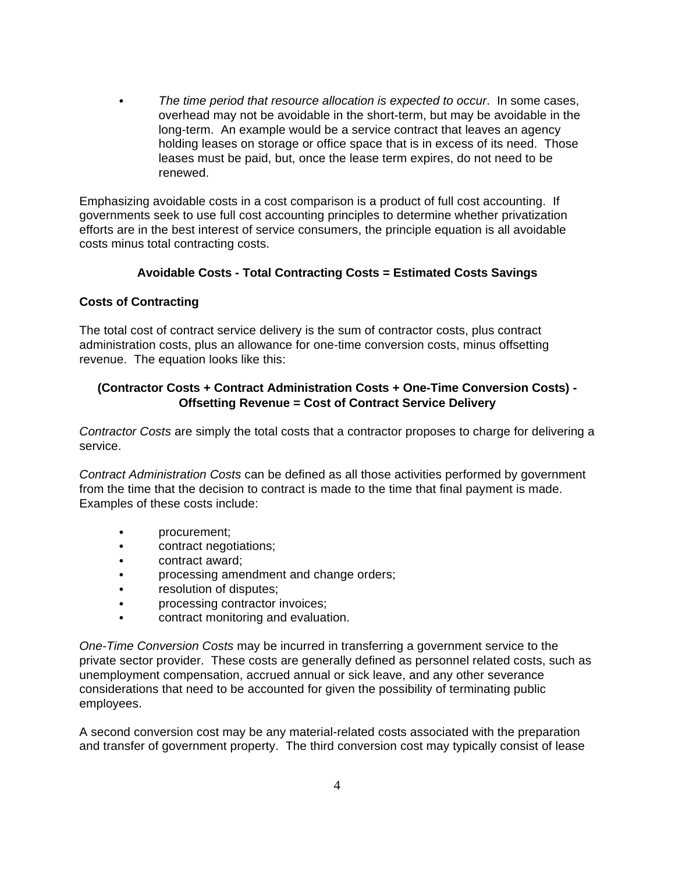• The time period that resource allocation is expected to occur. In some cases, overhead may not be avoidable in the short-term, but may be avoidable in the long-term. An example would be a service contract that leaves an agency holding leases on storage or office space that is in excess of its need. Those leases must be paid, but, once the lease term expires, do not need to be renewed.

Emphasizing avoidable costs in a cost comparison is a product of full cost accounting. If governments seek to use full cost accounting principles to determine whether privatization efforts are in the best interest of service consumers, the principle equation is all avoidable costs minus total contracting costs.

# **Avoidable Costs - Total Contracting Costs = Estimated Costs Savings**

### **Costs of Contracting**

The total cost of contract service delivery is the sum of contractor costs, plus contract administration costs, plus an allowance for one-time conversion costs, minus offsetting revenue. The equation looks like this:

# **(Contractor Costs + Contract Administration Costs + One-Time Conversion Costs) - Offsetting Revenue = Cost of Contract Service Delivery**

*Contractor Costs* are simply the total costs that a contractor proposes to charge for delivering a service.

*Contract Administration Costs* can be defined as all those activities performed by government from the time that the decision to contract is made to the time that final payment is made. Examples of these costs include:

- procurement;
- contract negotiations;
- contract award:
- processing amendment and change orders;
- **•** resolution of disputes;
- processing contractor invoices;
- contract monitoring and evaluation.

*One-Time Conversion Costs* may be incurred in transferring a government service to the private sector provider. These costs are generally defined as personnel related costs, such as unemployment compensation, accrued annual or sick leave, and any other severance considerations that need to be accounted for given the possibility of terminating public employees.

A second conversion cost may be any material-related costs associated with the preparation and transfer of government property. The third conversion cost may typically consist of lease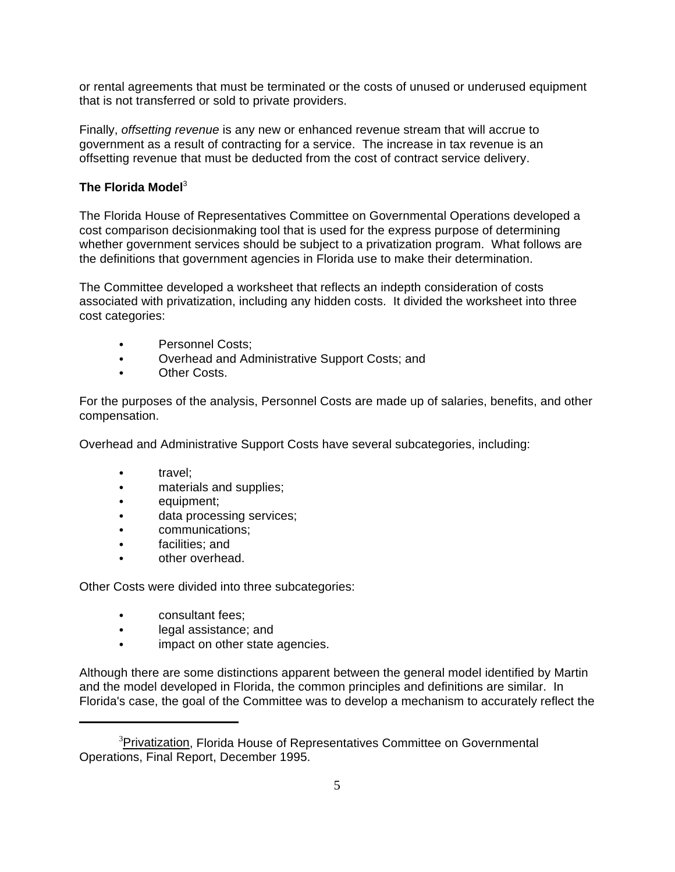or rental agreements that must be terminated or the costs of unused or underused equipment that is not transferred or sold to private providers.

Finally, *offsetting revenue* is any new or enhanced revenue stream that will accrue to government as a result of contracting for a service. The increase in tax revenue is an offsetting revenue that must be deducted from the cost of contract service delivery.

# **The Florida Model**<sup>3</sup>

The Florida House of Representatives Committee on Governmental Operations developed a cost comparison decisionmaking tool that is used for the express purpose of determining whether government services should be subject to a privatization program. What follows are the definitions that government agencies in Florida use to make their determination.

The Committee developed a worksheet that reflects an indepth consideration of costs associated with privatization, including any hidden costs. It divided the worksheet into three cost categories:

- Personnel Costs;
- Overhead and Administrative Support Costs; and
- Other Costs.

For the purposes of the analysis, Personnel Costs are made up of salaries, benefits, and other compensation.

Overhead and Administrative Support Costs have several subcategories, including:

- travel;
- materials and supplies;
- equipment;
- data processing services;
- communications;
- facilities; and
- other overhead.

Other Costs were divided into three subcategories:

- consultant fees:
- legal assistance; and
- impact on other state agencies.

Although there are some distinctions apparent between the general model identified by Martin and the model developed in Florida, the common principles and definitions are similar. In Florida's case, the goal of the Committee was to develop a mechanism to accurately reflect the

<sup>&</sup>lt;sup>3</sup>Privatization, Florida House of Representatives Committee on Governmental Operations, Final Report, December 1995.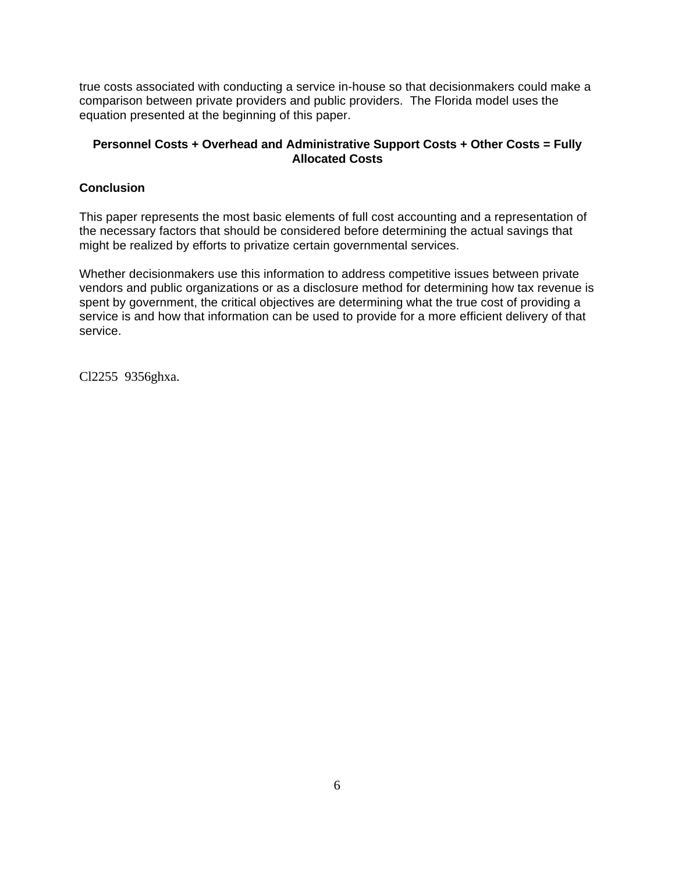true costs associated with conducting a service in-house so that decisionmakers could make a comparison between private providers and public providers. The Florida model uses the equation presented at the beginning of this paper.

# **Personnel Costs + Overhead and Administrative Support Costs + Other Costs = Fully Allocated Costs**

# **Conclusion**

This paper represents the most basic elements of full cost accounting and a representation of the necessary factors that should be considered before determining the actual savings that might be realized by efforts to privatize certain governmental services.

Whether decisionmakers use this information to address competitive issues between private vendors and public organizations or as a disclosure method for determining how tax revenue is spent by government, the critical objectives are determining what the true cost of providing a service is and how that information can be used to provide for a more efficient delivery of that service.

Cl2255 9356ghxa.